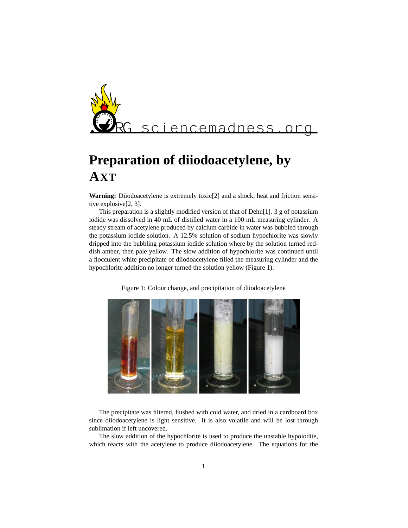

## **Preparation of diiodoacetylene, by AXT**

**Warning:** Diiodoacetylene is extremely toxic[2] and a shock, heat and friction sensitive explosive[2, 3].

This preparation is a slightly modified version of that of Dehn[1]. 3 g of potassium iodide was dissolved in 40 mL of distilled water in a 100 mL measuring cylinder. A steady stream of acetylene produced by calcium carbide in water was bubbled through the potassium iodide solution. A 12.5% solution of sodium hypochlorite was slowly dripped into the bubbling potassium iodide solution where by the solution turned reddish amber, then pale yellow. The slow addition of hypochlorite was continued until a flocculent white precipitate of diiodoacetylene filled the measuring cylinder and the hypochlorite addition no longer turned the solution yellow (Figure 1).

Figure 1: Colour change, and precipitation of diiodoacetylene



The precipitate was filtered, flushed with cold water, and dried in a cardboard box since diiodoacetylene is light sensitive. It is also volatile and will be lost through sublimation if left uncovered.

The slow addition of the hypochlorite is used to produce the unstable hypoiodite, which reacts with the acetylene to produce diiodoacetylene. The equations for the